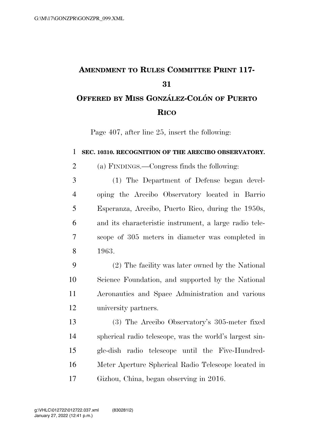## **AMENDMENT TO RULES COMMITTEE PRINT 117- OFFERED BY MISS GONZA´ LEZ-COLO´ N OF PUERTO RICO**

Page 407, after line 25, insert the following:

## **SEC. 10310. RECOGNITION OF THE ARECIBO OBSERVATORY.**

(a) FINDINGS.—Congress finds the following:

 (1) The Department of Defense began devel- oping the Arecibo Observatory located in Barrio Esperanza, Arecibo, Puerto Rico, during the 1950s, and its characteristic instrument, a large radio tele- scope of 305 meters in diameter was completed in 1963.

 (2) The facility was later owned by the National Science Foundation, and supported by the National Aeronautics and Space Administration and various university partners.

 (3) The Arecibo Observatory's 305-meter fixed spherical radio telescope, was the world's largest sin- gle-dish radio telescope until the Five-Hundred- Meter Aperture Spherical Radio Telescope located in Gizhou, China, began observing in 2016.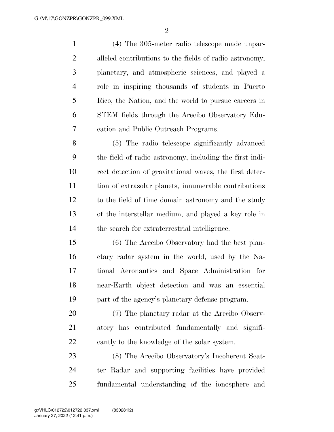(4) The 305-meter radio telescope made unpar- alleled contributions to the fields of radio astronomy, planetary, and atmospheric sciences, and played a role in inspiring thousands of students in Puerto Rico, the Nation, and the world to pursue careers in STEM fields through the Arecibo Observatory Edu- cation and Public Outreach Programs. (5) The radio telescope significantly advanced

 the field of radio astronomy, including the first indi- rect detection of gravitational waves, the first detec- tion of extrasolar planets, innumerable contributions to the field of time domain astronomy and the study of the interstellar medium, and played a key role in the search for extraterrestrial intelligence.

 (6) The Arecibo Observatory had the best plan- etary radar system in the world, used by the Na- tional Aeronautics and Space Administration for near-Earth object detection and was an essential part of the agency's planetary defense program.

 (7) The planetary radar at the Arecibo Observ- atory has contributed fundamentally and signifi-cantly to the knowledge of the solar system.

 (8) The Arecibo Observatory's Incoherent Scat- ter Radar and supporting facilities have provided fundamental understanding of the ionosphere and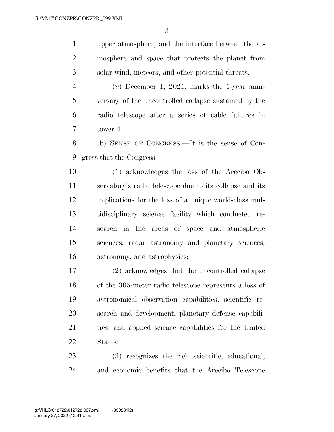upper atmosphere, and the interface between the at- mosphere and space that protects the planet from solar wind, meteors, and other potential threats.

 (9) December 1, 2021, marks the 1-year anni- versary of the uncontrolled collapse sustained by the radio telescope after a series of cable failures in tower 4.

 (b) SENSE OF CONGRESS.—It is the sense of Con-gress that the Congress—

 (1) acknowledges the loss of the Arecibo Ob- servatory's radio telescope due to its collapse and its implications for the loss of a unique world-class mul- tidisciplinary science facility which conducted re- search in the areas of space and atmospheric sciences, radar astronomy and planetary sciences, astronomy, and astrophysics;

 (2) acknowledges that the uncontrolled collapse of the 305-meter radio telescope represents a loss of astronomical observation capabilities, scientific re- search and development, planetary defense capabili- ties, and applied science capabilities for the United States;

 (3) recognizes the rich scientific, educational, and economic benefits that the Arecibo Telescope